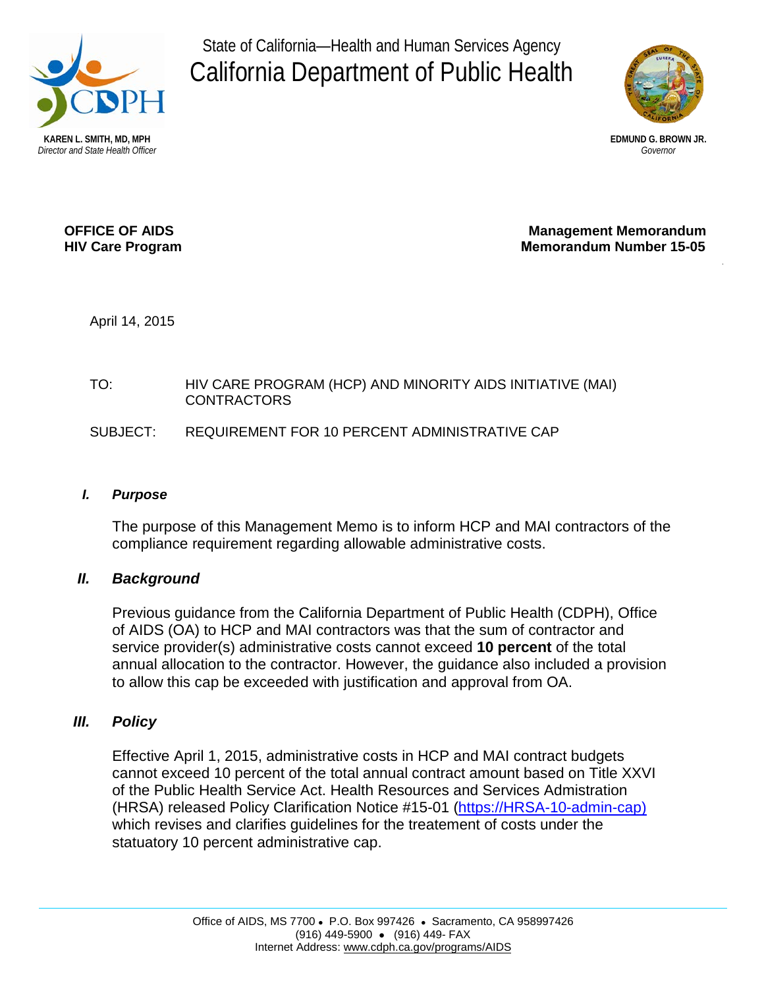

State of California—Health and Human Services Agency California Department of Public Health



**OFFICE OF AIDS Management Memorandum HIV Care Program Memorandum Number 15-05** 

April 14, 2015

## TO: HIV CARE PROGRAM (HCP) AND MINORITY AIDS INITIATIVE (MAI) CONTRACTORS

# SUBJECT: REQUIREMENT FOR 10 PERCENT ADMINISTRATIVE CAP

#### *I. Purpose*

The purpose of this Management Memo is to inform HCP and MAI contractors of the compliance requirement regarding allowable administrative costs.

## *II. Background*

Previous guidance from the California Department of Public Health (CDPH), Office of AIDS (OA) to HCP and MAI contractors was that the sum of contractor and service provider(s) administrative costs cannot exceed **10 percent** of the total annual allocation to the contractor. However, the guidance also included a provision to allow this cap be exceeded with justification and approval from OA.

## *III. Policy*

Effective April 1, 2015, administrative costs in HCP and MAI contract budgets cannot exceed 10 percent of the total annual contract amount based on Title XXVI of the Public Health Service Act. Health Resources and Services Admistration (HRSA) released Policy Clarification Notice #15-01 [\(https://HRSA-10-admin-cap\)](https://careacttarget.org/library/policy-15-01-treatment-costs-under-10-administrative-cap) which revises and clarifies guidelines for the treatement of costs under the statuatory 10 percent administrative cap.